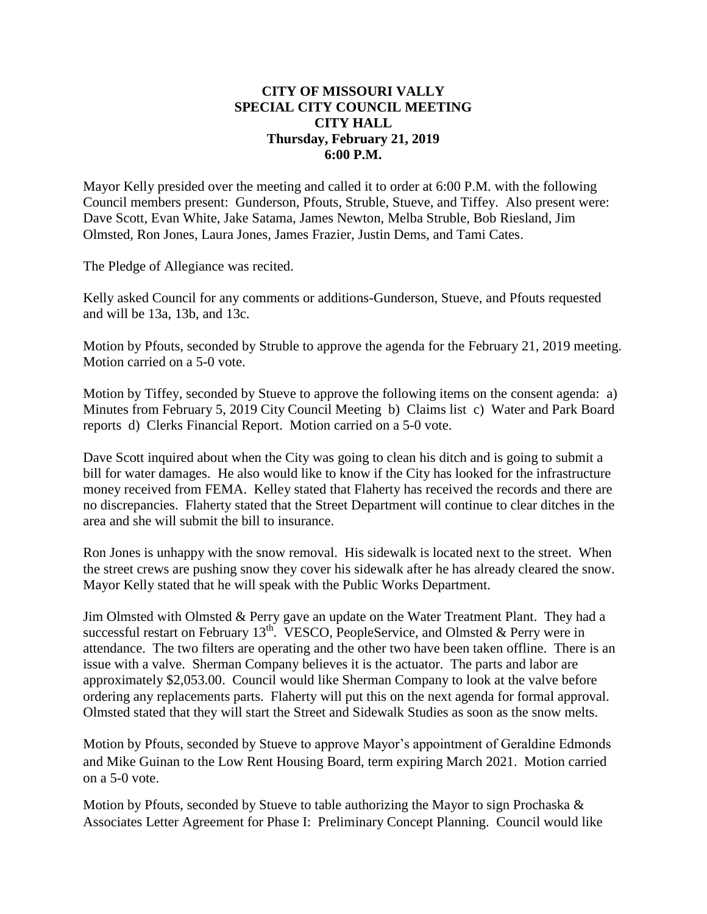## **CITY OF MISSOURI VALLY SPECIAL CITY COUNCIL MEETING CITY HALL Thursday, February 21, 2019 6:00 P.M.**

Mayor Kelly presided over the meeting and called it to order at 6:00 P.M. with the following Council members present: Gunderson, Pfouts, Struble, Stueve, and Tiffey. Also present were: Dave Scott, Evan White, Jake Satama, James Newton, Melba Struble, Bob Riesland, Jim Olmsted, Ron Jones, Laura Jones, James Frazier, Justin Dems, and Tami Cates.

The Pledge of Allegiance was recited.

Kelly asked Council for any comments or additions-Gunderson, Stueve, and Pfouts requested and will be 13a, 13b, and 13c.

Motion by Pfouts, seconded by Struble to approve the agenda for the February 21, 2019 meeting. Motion carried on a 5-0 vote.

Motion by Tiffey, seconded by Stueve to approve the following items on the consent agenda: a) Minutes from February 5, 2019 City Council Meeting b) Claims list c) Water and Park Board reports d) Clerks Financial Report. Motion carried on a 5-0 vote.

Dave Scott inquired about when the City was going to clean his ditch and is going to submit a bill for water damages. He also would like to know if the City has looked for the infrastructure money received from FEMA. Kelley stated that Flaherty has received the records and there are no discrepancies. Flaherty stated that the Street Department will continue to clear ditches in the area and she will submit the bill to insurance.

Ron Jones is unhappy with the snow removal. His sidewalk is located next to the street. When the street crews are pushing snow they cover his sidewalk after he has already cleared the snow. Mayor Kelly stated that he will speak with the Public Works Department.

Jim Olmsted with Olmsted & Perry gave an update on the Water Treatment Plant. They had a successful restart on February  $13<sup>th</sup>$ . VESCO, PeopleService, and Olmsted & Perry were in attendance. The two filters are operating and the other two have been taken offline. There is an issue with a valve. Sherman Company believes it is the actuator. The parts and labor are approximately \$2,053.00. Council would like Sherman Company to look at the valve before ordering any replacements parts. Flaherty will put this on the next agenda for formal approval. Olmsted stated that they will start the Street and Sidewalk Studies as soon as the snow melts.

Motion by Pfouts, seconded by Stueve to approve Mayor's appointment of Geraldine Edmonds and Mike Guinan to the Low Rent Housing Board, term expiring March 2021. Motion carried on a 5-0 vote.

Motion by Pfouts, seconded by Stueve to table authorizing the Mayor to sign Prochaska & Associates Letter Agreement for Phase I: Preliminary Concept Planning. Council would like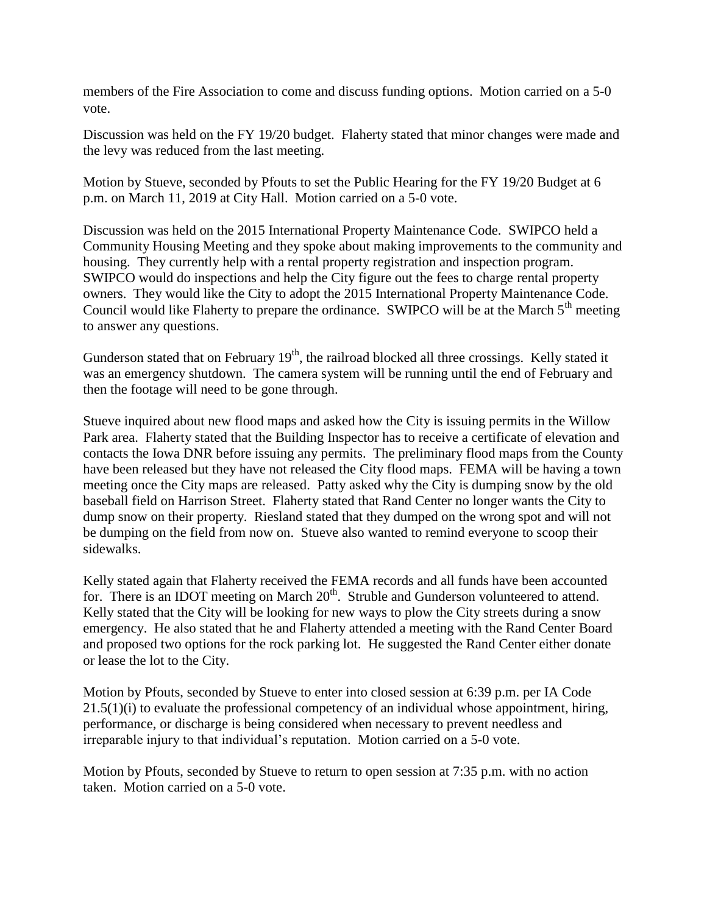members of the Fire Association to come and discuss funding options. Motion carried on a 5-0 vote.

Discussion was held on the FY 19/20 budget. Flaherty stated that minor changes were made and the levy was reduced from the last meeting.

Motion by Stueve, seconded by Pfouts to set the Public Hearing for the FY 19/20 Budget at 6 p.m. on March 11, 2019 at City Hall. Motion carried on a 5-0 vote.

Discussion was held on the 2015 International Property Maintenance Code. SWIPCO held a Community Housing Meeting and they spoke about making improvements to the community and housing. They currently help with a rental property registration and inspection program. SWIPCO would do inspections and help the City figure out the fees to charge rental property owners. They would like the City to adopt the 2015 International Property Maintenance Code. Council would like Flaherty to prepare the ordinance. SWIPCO will be at the March  $5<sup>th</sup>$  meeting to answer any questions.

Gunderson stated that on February  $19<sup>th</sup>$ , the railroad blocked all three crossings. Kelly stated it was an emergency shutdown. The camera system will be running until the end of February and then the footage will need to be gone through.

Stueve inquired about new flood maps and asked how the City is issuing permits in the Willow Park area. Flaherty stated that the Building Inspector has to receive a certificate of elevation and contacts the Iowa DNR before issuing any permits. The preliminary flood maps from the County have been released but they have not released the City flood maps. FEMA will be having a town meeting once the City maps are released. Patty asked why the City is dumping snow by the old baseball field on Harrison Street. Flaherty stated that Rand Center no longer wants the City to dump snow on their property. Riesland stated that they dumped on the wrong spot and will not be dumping on the field from now on. Stueve also wanted to remind everyone to scoop their sidewalks.

Kelly stated again that Flaherty received the FEMA records and all funds have been accounted for. There is an IDOT meeting on March  $20<sup>th</sup>$ . Struble and Gunderson volunteered to attend. Kelly stated that the City will be looking for new ways to plow the City streets during a snow emergency. He also stated that he and Flaherty attended a meeting with the Rand Center Board and proposed two options for the rock parking lot. He suggested the Rand Center either donate or lease the lot to the City.

Motion by Pfouts, seconded by Stueve to enter into closed session at 6:39 p.m. per IA Code  $21.5(1)(i)$  to evaluate the professional competency of an individual whose appointment, hiring, performance, or discharge is being considered when necessary to prevent needless and irreparable injury to that individual's reputation. Motion carried on a 5-0 vote.

Motion by Pfouts, seconded by Stueve to return to open session at 7:35 p.m. with no action taken. Motion carried on a 5-0 vote.